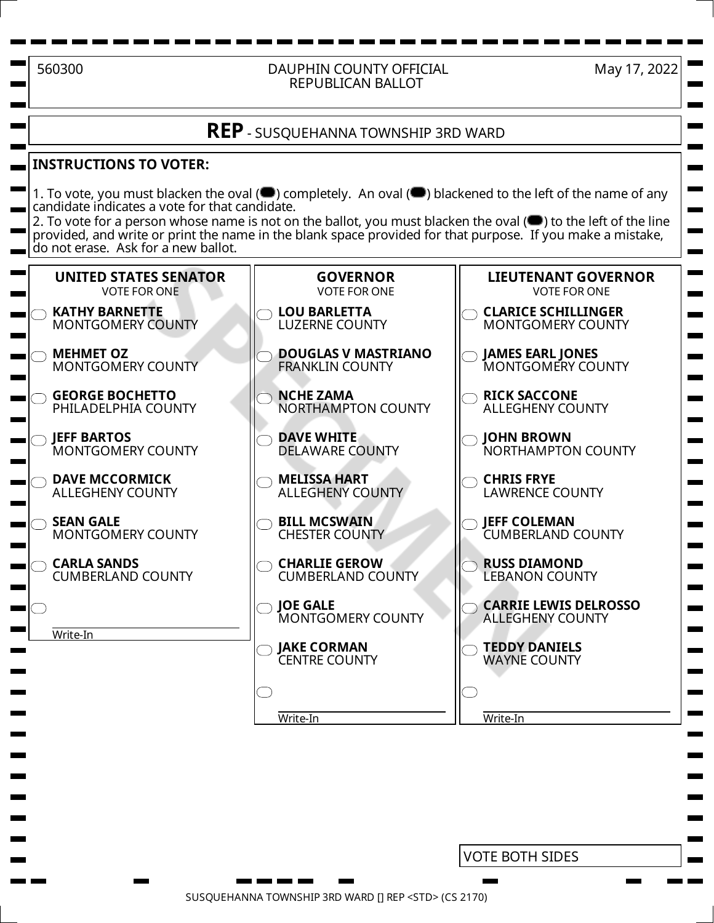## 560300 DAUPHIN COUNTY OFFICIAL REPUBLICAN BALLOT

## **REP** - SUSQUEHANNA TOWNSHIP 3RD WARD

## **INSTRUCTIONS TO VOTER:**

1. To vote, you must blacken the oval (**O**) completely. An oval (O) blackened to the left of the name of any candidate indicates a vote for that candidate.

2. To vote for a person whose name is not on the ballot, you must blacken the oval  $($ **)** to the left of the line provided, and write or print the name in the blank space provided for that purpose. If you make a mistake, do not erase. Ask for a new ballot.



VOTE BOTH SIDES